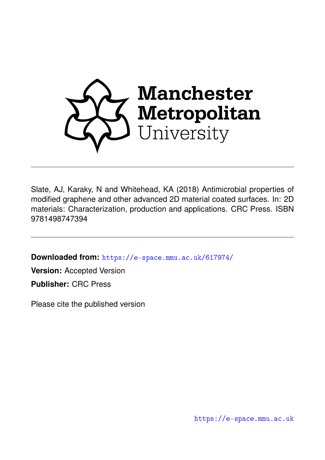

Slate, AJ, Karaky, N and Whitehead, KA (2018) Antimicrobial properties of modified graphene and other advanced 2D material coated surfaces. In: 2D materials: Characterization, production and applications. CRC Press. ISBN 9781498747394

**Downloaded from:** <https://e-space.mmu.ac.uk/617974/>

**Version:** Accepted Version

**Publisher:** CRC Press

Please cite the published version

<https://e-space.mmu.ac.uk>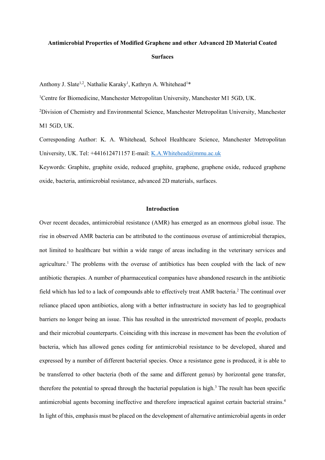# **Antimicrobial Properties of Modified Graphene and other Advanced 2D Material Coated Surfaces**

Anthony J. Slate<sup>1,2</sup>, Nathalie Karaky<sup>1</sup>, Kathryn A. Whitehead<sup>1\*</sup>

<sup>1</sup>Centre for Biomedicine, Manchester Metropolitan University, Manchester M1 5GD, UK.

<sup>2</sup>Division of Chemistry and Environmental Science, Manchester Metropolitan University, Manchester M1 5GD, UK.

Corresponding Author: K. A. Whitehead, School Healthcare Science, Manchester Metropolitan University, UK. Tel: +441612471157 E-mail: [K.A.Whitehead@mmu.ac.uk](mailto:K.A.Whitehead@mmu.ac.uk)

Keywords: Graphite, graphite oxide, reduced graphite, graphene, graphene oxide, reduced graphene oxide, bacteria, antimicrobial resistance, advanced 2D materials, surfaces.

#### **Introduction**

Over recent decades, antimicrobial resistance (AMR) has emerged as an enormous global issue. The rise in observed AMR bacteria can be attributed to the continuous overuse of antimicrobial therapies, not limited to healthcare but within a wide range of areas including in the veterinary services and agriculture. <sup>1</sup> The problems with the overuse of antibiotics has been coupled with the lack of new antibiotic therapies. A number of pharmaceutical companies have abandoned research in the antibiotic field which has led to a lack of compounds able to effectively treat AMR bacteria. <sup>2</sup> The continual over reliance placed upon antibiotics, along with a better infrastructure in society has led to geographical barriers no longer being an issue. This has resulted in the unrestricted movement of people, products and their microbial counterparts. Coinciding with this increase in movement has been the evolution of bacteria, which has allowed genes coding for antimicrobial resistance to be developed, shared and expressed by a number of different bacterial species. Once a resistance gene is produced, it is able to be transferred to other bacteria (both of the same and different genus) by horizontal gene transfer, therefore the potential to spread through the bacterial population is high. <sup>3</sup> The result has been specific antimicrobial agents becoming ineffective and therefore impractical against certain bacterial strains. 4 In light of this, emphasis must be placed on the development of alternative antimicrobial agents in order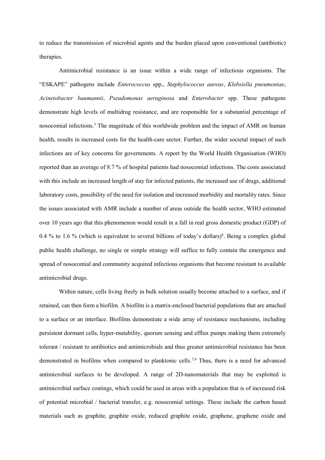to reduce the transmission of microbial agents and the burden placed upon conventional (antibiotic) therapies.

Antimicrobial resistance is an issue within a wide range of infectious organisms. The "ESKAPE" pathogens include *Enterococcus* spp., *Staphylococcus aureus*, *Klebsiella pneumoniae*, *Acinetobacter baumannii*, *Pseudomonas aeruginosa* and *Enterobacter* spp. These pathogens demonstrate high levels of multidrug resistance, and are responsible for a substantial percentage of nosocomial infections. <sup>5</sup> The magnitude of this worldwide problem and the impact of AMR on human health, results in increased costs for the health-care sector. Further, the wider societal impact of such infections are of key concerns for governments. A report by the World Health Organisation (WHO) reported than an average of 8.7 % of hospital patients had nosocomial infections. The costs associated with this include an increased length of stay for infected patients, the increased use of drugs, additional laboratory costs, possibility of the need for isolation and increased morbidity and mortality rates. Since the issues associated with AMR include a number of areas outside the health sector, WHO estimated over 10 years ago that this phenomenon would result in a fall in real gross domestic product (GDP) of 0.4 % to 1.6 % (which is equivalent to several billions of today's dollars)<sup>6</sup>. Being a complex global public health challenge, no single or simple strategy will suffice to fully contain the emergence and spread of nosocomial and community acquired infectious organisms that become resistant to available antimicrobial drugs.

Within nature, cells living freely in bulk solution usually become attached to a surface, and if retained, can then form a biofilm. A biofilm is a matrix-enclosed bacterial populations that are attached to a surface or an interface. Biofilms demonstrate a wide array of resistance mechanisms, including persistent dormant cells, hyper-mutability, quorum sensing and efflux pumps making them extremely tolerant / resistant to antibiotics and antimicrobials and thus greater antimicrobial resistance has been demonstrated in biofilms when compared to planktonic cells.<sup>7,8</sup> Thus, there is a need for advanced antimicrobial surfaces to be developed. A range of 2D-nanomaterials that may be exploited is antimicrobial surface coatings, which could be used in areas with a population that is of increased risk of potential microbial / bacterial transfer, e.g. nosocomial settings. These include the carbon based materials such as graphite, graphite oxide, reduced graphite oxide, graphene, graphene oxide and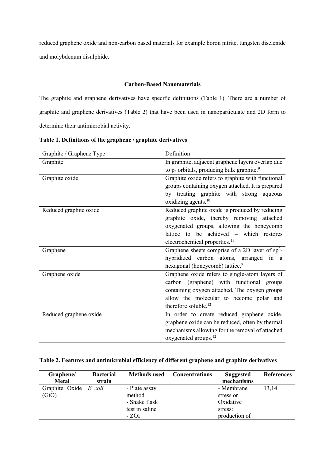reduced graphene oxide and non-carbon based materials for example boron nitrite, tungsten diselenide and molybdenum disulphide.

# **Carbon-Based Nanomaterials**

The graphite and graphene derivatives have specific definitions (Table 1). There are a number of graphite and graphene derivatives (Table 2) that have been used in nanoparticulate and 2D form to determine their antimicrobial activity.

| Graphite / Graphene Type | Definition                                                        |  |  |  |
|--------------------------|-------------------------------------------------------------------|--|--|--|
| Graphite                 | In graphite, adjacent graphene layers overlap due                 |  |  |  |
|                          | to p <sub>z</sub> orbitals, producing bulk graphite. <sup>9</sup> |  |  |  |
| Graphite oxide           | Graphite oxide refers to graphite with functional                 |  |  |  |
|                          | groups containing oxygen attached. It is prepared                 |  |  |  |
|                          | by treating graphite with strong aqueous                          |  |  |  |
|                          | oxidizing agents. <sup>10</sup>                                   |  |  |  |
| Reduced graphite oxide   | Reduced graphite oxide is produced by reducing                    |  |  |  |
|                          | graphite oxide, thereby removing attached                         |  |  |  |
|                          | oxygenated groups, allowing the honeycomb                         |  |  |  |
|                          | lattice to be achieved – which restores                           |  |  |  |
|                          | electrochemical properties. <sup>11</sup>                         |  |  |  |
| Graphene                 | Graphene sheets comprise of a 2D layer of $sp^2$ -                |  |  |  |
|                          | hybridized carbon atoms, arranged in a                            |  |  |  |
|                          | hexagonal (honeycomb) lattice. <sup>9</sup>                       |  |  |  |
| Graphene oxide           | Graphene oxide refers to single-atom layers of                    |  |  |  |
|                          | carbon (graphene) with functional groups                          |  |  |  |
|                          | containing oxygen attached. The oxygen groups                     |  |  |  |
|                          | allow the molecular to become polar and                           |  |  |  |
|                          | therefore soluble. <sup>12</sup>                                  |  |  |  |
| Reduced graphene oxide   | In order to create reduced graphene oxide,                        |  |  |  |
|                          | graphene oxide can be reduced, often by thermal                   |  |  |  |
|                          | mechanisms allowing for the removal of attached                   |  |  |  |
|                          | oxygenated groups. <sup>12</sup>                                  |  |  |  |

**Table 1. Definitions of the graphene / graphite derivatives** 

# **Table 2. Features and antimicrobial efficiency of different graphene and graphite derivatives**

| Graphene/<br><b>Metal</b>       | <b>Bacterial</b><br>strain | <b>Methods used</b>                                                 | <b>Concentrations</b> | <b>Suggested</b><br>mechanisms                                   | <b>References</b> |
|---------------------------------|----------------------------|---------------------------------------------------------------------|-----------------------|------------------------------------------------------------------|-------------------|
| Graphite Oxide E. coli<br>(GtO) |                            | - Plate assay<br>method<br>- Shake flask<br>test in saline<br>- ZOI |                       | - Membrane<br>stress or<br>Oxidative<br>stress:<br>production of | 13,14             |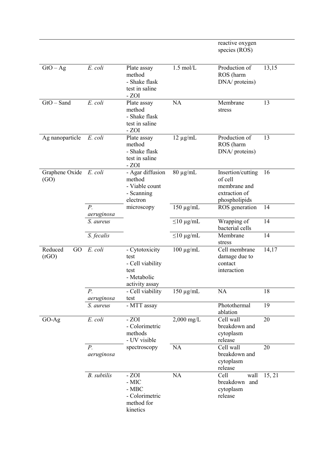|                                |                           |                                                                                     |                      | reactive oxygen<br>species (ROS)                                               |        |
|--------------------------------|---------------------------|-------------------------------------------------------------------------------------|----------------------|--------------------------------------------------------------------------------|--------|
| $GtO - Ag$                     | E. coli                   | Plate assay<br>method<br>- Shake flask<br>test in saline<br>$-ZOI$                  | $1.5$ mol/L          | Production of<br>ROS (harm<br>DNA/ proteins)                                   | 13,15  |
| $GtO - Sand$                   | E. coli                   | Plate assay<br>method<br>- Shake flask<br>test in saline<br>$-ZOI$                  | NA                   | Membrane<br>stress                                                             | 13     |
| Ag nanoparticle                | E. coli                   | Plate assay<br>method<br>- Shake flask<br>test in saline<br>- ZOI                   | $12 \mu g/mL$        | Production of<br>ROS (harm<br>DNA/ proteins)                                   | 13     |
| Graphene Oxide E. coli<br>(GO) |                           | - Agar diffusion<br>method<br>- Viable count<br>- Scanning<br>electron              | $80 \mu g/mL$        | Insertion/cutting<br>of cell<br>membrane and<br>extraction of<br>phospholipids | 16     |
|                                | $P$ .<br>aeruginosa       | microscopy                                                                          | $150 \mu g/mL$       | ROS generation                                                                 | 14     |
|                                | S. aureus                 |                                                                                     | $\leq$ 10 µg/mL      | Wrapping of<br>bacterial cells                                                 | 14     |
|                                | S. fecalis                |                                                                                     | $\leq$ 10 µg/mL      | Membrane<br>stress                                                             | 14     |
| Reduced<br>GO<br>(rGO)         | E. coli                   | - Cytotoxicity<br>test<br>- Cell viability<br>test<br>- Metabolic<br>activity assay | $100 \mu g/mL$       | Cell membrane<br>damage due to<br>contact<br>interaction                       | 14,17  |
|                                | $P$ .<br>aeruginosa       | - Cell viability<br>test                                                            | $150 \mu g/mL$       | <b>NA</b>                                                                      | 18     |
|                                | S. aureus                 | - MTT assay                                                                         |                      | Photothermal<br>ablation                                                       | 19     |
| $GO-Ag$                        | E. coli                   | $-ZOI$<br>- Colorimetric<br>methods<br>- UV visible                                 | $2,000 \text{ mg/L}$ | Cell wall<br>breakdown and<br>cytoplasm<br>release                             | 20     |
|                                | $P_{\cdot}$<br>aeruginosa | spectroscopy                                                                        | <b>NA</b>            | Cell wall<br>breakdown and<br>cytoplasm<br>release                             | 20     |
|                                | <b>B.</b> subtilis        | $-ZOI$<br>- MIC<br>$-MBC$<br>- Colorimetric<br>method for<br>kinetics               | NA                   | Cell<br>wall<br>breakdown and<br>cytoplasm<br>release                          | 15, 21 |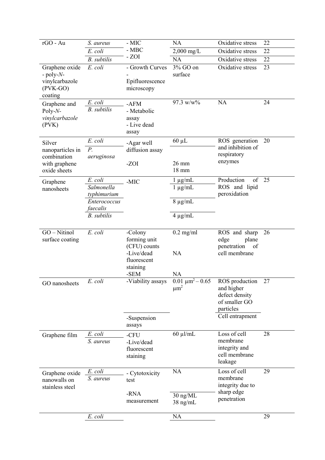| rGO - Au                                                                | S. aureus                                                                              | - MIC                                                                                    | <b>NA</b>                                                    | Oxidative stress                                                                                | 22       |
|-------------------------------------------------------------------------|----------------------------------------------------------------------------------------|------------------------------------------------------------------------------------------|--------------------------------------------------------------|-------------------------------------------------------------------------------------------------|----------|
|                                                                         | $E.$ $coli$                                                                            | $-MBC$                                                                                   | $2,000 \text{ mg/L}$                                         | Oxidative stress                                                                                | 22       |
|                                                                         | <b>B.</b> subtilis                                                                     | $-ZOI$                                                                                   | <b>NA</b>                                                    | Oxidative stress                                                                                | 22       |
| Graphene oxide<br>$-poly-N-$<br>vinylcarbazole<br>$(PVK-GO)$<br>coating | E. coli                                                                                | - Growth Curves<br>Epifluorescence<br>microscopy                                         | 3% GO on<br>surface                                          | Oxidative stress                                                                                | 23       |
| Graphene and<br>Poly- $N-$<br>vinylcarbazole<br>(PVK)                   | E. coli<br><b>B.</b> subtilis                                                          | $-AFM$<br>- Metabolic<br>assay<br>- Live dead<br>assay                                   | $97.3 \text{ w/w}$ %                                         | <b>NA</b>                                                                                       | 24       |
| Silver                                                                  | E. coli                                                                                | -Agar well                                                                               | $60 \mu L$                                                   | ROS generation                                                                                  | 20       |
| nanoparticles in<br>combination<br>with graphene<br>oxide sheets        | $P$ .<br>aeruginosa                                                                    | diffusion assay<br>-ZOI                                                                  | 26 mm<br>18 mm                                               | and inhibition of<br>respiratory<br>enzymes                                                     |          |
| Graphene<br>nanosheets                                                  | E. coli<br>Salmonella<br>typhimurium<br>Enterococcus<br>faecalis<br><b>B.</b> subtilis | -MIC                                                                                     | $1 \mu g/mL$<br>$1 \mu g/mL$<br>$8 \mu g/mL$<br>$4 \mu g/mL$ | Production<br>of<br>ROS and lipid<br>peroxidation                                               | 25       |
| GO - Nitinol<br>surface coating                                         | E. coli                                                                                | -Colony<br>forming unit<br>(CFU) counts<br>-Live/dead<br>fluorescent<br>staining<br>-SEM | $0.2$ mg/ml<br>NA<br>NA                                      | ROS and sharp<br>edge<br>plane<br>penetration<br>of<br>cell membrane                            | 26       |
| GO nanosheets                                                           | $E.$ $\text{coli}$                                                                     | -Viability assays<br>-Suspension<br>assays                                               | $0.01 \ \mu m^2 - 0.65$<br>$\mu m^2$                         | ROS production<br>and higher<br>defect density<br>of smaller GO<br>particles<br>Cell entrapment | 27       |
| Graphene film                                                           | E. coli<br>S. aureus                                                                   | -CFU<br>-Live/dead<br>fluorescent<br>staining                                            | $60 \mu$ l/mL                                                | Loss of cell<br>membrane<br>integrity and<br>cell membrane<br>leakage                           | 28       |
| Graphene oxide<br>nanowalls on<br>stainless steel                       | E. coli<br>S. aureus                                                                   | - Cytotoxicity<br>test<br>-RNA<br>measurement                                            | <b>NA</b><br>30 ng/ML<br>$38$ ng/mL<br>NA                    | Loss of cell<br>membrane<br>integrity due to<br>sharp edge<br>penetration                       | 29<br>29 |
|                                                                         | E. coli                                                                                |                                                                                          |                                                              |                                                                                                 |          |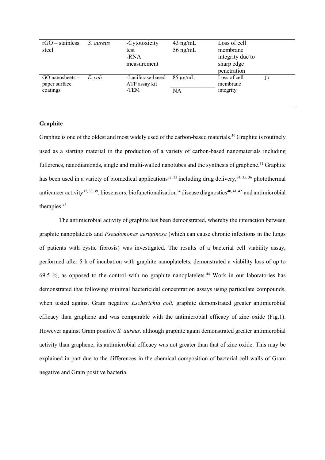| $rGO - \text{stainless}$<br>steel    | S. aureus | -Cytotoxicity<br>test<br>-RNA<br>measurement | $43$ ng/mL<br>56 ng/mL | Loss of cell<br>membrane<br>integrity due to<br>sharp edge<br>penetration |    |
|--------------------------------------|-----------|----------------------------------------------|------------------------|---------------------------------------------------------------------------|----|
| $GO$ nanosheets $-$<br>paper surface | E. coli   | -Luciferase-based<br>ATP assay kit           | $85 \mu g/mL$          | Loss of cell<br>membrane                                                  | 17 |
| coatings                             |           | -TEM                                         | NA                     | integrity                                                                 |    |

# **Graphite**

Graphite is one of the oldest and most widely used of the carbon-based materials.<sup>30</sup> Graphite is routinely used as a starting material in the production of a variety of carbon-based nanomaterials including fullerenes, nanodiamonds, single and multi-walled nanotubes and the synthesis of graphene.<sup>31</sup> Graphite has been used in a variety of biomedical applications<sup>32, 33</sup> including drug delivery,<sup>34, 35, 36</sup> photothermal anticancer activity<sup>37, 38, 39</sup>, biosensors, biofunctionalisation<sup>34</sup> disease diagnostics<sup>40, 41, 42</sup> and antimicrobial therapies. 43

The antimicrobial activity of graphite has been demonstrated, whereby the interaction between graphite nanoplatelets and *Pseudomonas aeruginosa* (which can cause chronic infections in the lungs of patients with cystic fibrosis) was investigated. The results of a bacterial cell viability assay, performed after 5 h of incubation with graphite nanoplatelets, demonstrated a viability loss of up to 69.5 %, as opposed to the control with no graphite nanoplatelets. <sup>44</sup> Work in our laboratories has demonstrated that following minimal bactericidal concentration assays using particulate compounds, when tested against Gram negative *Escherichia coli,* graphite demonstrated greater antimicrobial efficacy than graphene and was comparable with the antimicrobial efficacy of zinc oxide (Fig.1). However against Gram positive *S. aureus,* although graphite again demonstrated greater antimicrobial activity than graphene, its antimicrobial efficacy was not greater than that of zinc oxide. This may be explained in part due to the differences in the chemical composition of bacterial cell walls of Gram negative and Gram positive bacteria.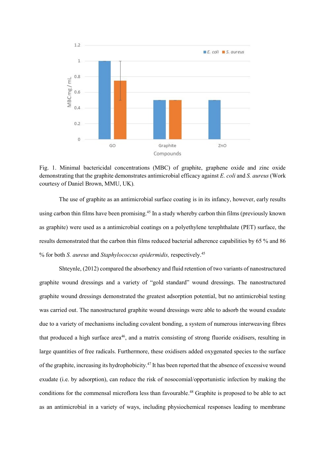

Fig. 1. Minimal bactericidal concentrations (MBC) of graphite, graphene oxide and zinc oxide demonstrating that the graphite demonstrates antimicrobial efficacy against *E. coli* and *S. aureus* (Work courtesy of Daniel Brown, MMU, UK)*.*

The use of graphite as an antimicrobial surface coating is in its infancy, however, early results using carbon thin films have been promising. <sup>45</sup> In a study whereby carbon thin films (previously known as graphite) were used as a antimicrobial coatings on a polyethylene terephthalate (PET) surface, the results demonstrated that the carbon thin films reduced bacterial adherence capabilities by 65 % and 86 % for both *S. aureus* and *Staphylococcus epidermidis,* respectively. 45

Shteynle, (2012) compared the absorbency and fluid retention of two variants of nanostructured graphite wound dressings and a variety of "gold standard" wound dressings. The nanostructured graphite wound dressings demonstrated the greatest adsorption potential, but no antimicrobial testing was carried out. The nanostructured graphite wound dressings were able to adsorb the wound exudate due to a variety of mechanisms including covalent bonding, a system of numerous interweaving fibres that produced a high surface area<sup>46</sup>, and a matrix consisting of strong fluoride oxidisers, resulting in large quantities of free radicals. Furthermore, these oxidisers added oxygenated species to the surface of the graphite, increasing its hydrophobicity.<sup>47</sup> It has been reported that the absence of excessive wound exudate (i.e. by adsorption), can reduce the risk of nosocomial/opportunistic infection by making the conditions for the commensal microflora less than favourable. <sup>48</sup> Graphite is proposed to be able to act as an antimicrobial in a variety of ways, including physiochemical responses leading to membrane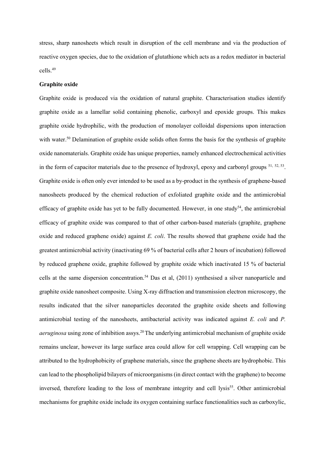stress, sharp nanosheets which result in disruption of the cell membrane and via the production of reactive oxygen species, due to the oxidation of glutathione which acts as a redox mediator in bacterial cells.<sup>49</sup>

#### **Graphite oxide**

Graphite oxide is produced via the oxidation of natural graphite. Characterisation studies identify graphite oxide as a lamellar solid containing phenolic, carboxyl and epoxide groups. This makes graphite oxide hydrophilic, with the production of monolayer colloidal dispersions upon interaction with water.<sup>50</sup> Delamination of graphite oxide solids often forms the basis for the synthesis of graphite oxide nanomaterials. Graphite oxide has unique properties, namely enhanced electrochemical activities in the form of capacitor materials due to the presence of hydroxyl, epoxy and carbonyl groups  $51, 52, 53$ . Graphite oxide is often only ever intended to be used as a by-product in the synthesis of graphene-based nanosheets produced by the chemical reduction of exfoliated graphite oxide and the antimicrobial efficacy of graphite oxide has yet to be fully documented. However, in one study<sup>54</sup>, the antimicrobial efficacy of graphite oxide was compared to that of other carbon-based materials (graphite, graphene oxide and reduced graphene oxide) against *E. coli*. The results showed that graphene oxide had the greatest antimicrobial activity (inactivating 69 % of bacterial cells after 2 hours of incubation) followed by reduced graphene oxide, graphite followed by graphite oxide which inactivated 15 % of bacterial cells at the same dispersion concentration.<sup>54</sup> Das et al, (2011) synthesised a silver nanoparticle and graphite oxide nanosheet composite. Using X-ray diffraction and transmission electron microscopy, the results indicated that the silver nanoparticles decorated the graphite oxide sheets and following antimicrobial testing of the nanosheets, antibacterial activity was indicated against *E. coli* and *P. aeruginosa* using zone of inhibition assys. <sup>20</sup>The underlying antimicrobial mechanism of graphite oxide remains unclear, however its large surface area could allow for cell wrapping. Cell wrapping can be attributed to the hydrophobicity of graphene materials, since the graphene sheets are hydrophobic. This can lead to the phospholipid bilayers of microorganisms (in direct contact with the graphene) to become inversed, therefore leading to the loss of membrane integrity and cell lysis<sup>55</sup>. Other antimicrobial mechanisms for graphite oxide include its oxygen containing surface functionalities such as carboxylic,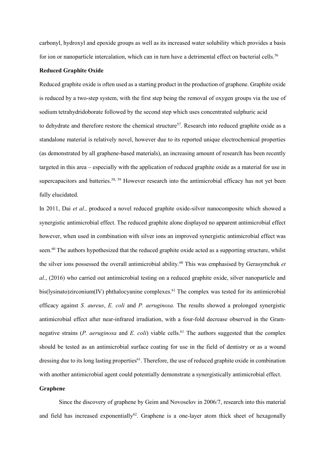carbonyl, hydroxyl and epoxide groups as well as its increased water solubility which provides a basis for ion or nanoparticle intercalation, which can in turn have a detrimental effect on bacterial cells.<sup>56</sup>

## **Reduced Graphite Oxide**

Reduced graphite oxide is often used as a starting product in the production of graphene. Graphite oxide is reduced by a two-step system, with the first step being the removal of oxygen groups via the use of sodium tetrahydridoborate followed by the second step which uses concentrated sulphuric acid to dehydrate and therefore restore the chemical structure<sup>57</sup>. Research into reduced graphite oxide as a standalone material is relatively novel, however due to its reported unique electrochemical properties (as demonstrated by all graphene-based materials), an increasing amount of research has been recently targeted in this area – especially with the application of reduced graphite oxide as a material for use in supercapacitors and batteries.<sup>58, 59</sup> However research into the antimicrobial efficacy has not yet been fully elucidated.

In 2011, Dai *et al.,* produced a novel reduced graphite oxide-silver nanocomposite which showed a synergistic antimicrobial effect. The reduced graphite alone displayed no apparent antimicrobial effect however, when used in combination with silver ions an improved synergistic antimicrobial effect was seen.<sup>60</sup> The authors hypothesized that the reduced graphite oxide acted as a supporting structure, whilst the silver ions possessed the overall antimicrobial ability.<sup>60</sup> This was emphasised by Gerasymchuk *et al*., (2016) who carried out antimicrobial testing on a reduced graphite oxide, silver nanoparticle and bis(lysinato)zirconium(IV) phthalocyanine complexes.<sup>61</sup> The complex was tested for its antimicrobial efficacy against *S. aureus*, *E. coli* and *P. aeruginosa.* The results showed a prolonged synergistic antimicrobial effect after near-infrared irradiation, with a four-fold decrease observed in the Gramnegative strains  $(P. \text{a}eruginosa$  and  $E. \text{ coli}$  viable cells.<sup>61</sup> The authors suggested that the complex should be tested as an antimicrobial surface coating for use in the field of dentistry or as a wound dressing due to its long lasting properties<sup>61</sup>. Therefore, the use of reduced graphite oxide in combination with another antimicrobial agent could potentially demonstrate a synergistically antimicrobial effect.

# **Graphene**

Since the discovery of graphene by Geim and Novoselov in 2006/7, research into this material and field has increased exponentially<sup>62</sup>. Graphene is a one-layer atom thick sheet of hexagonally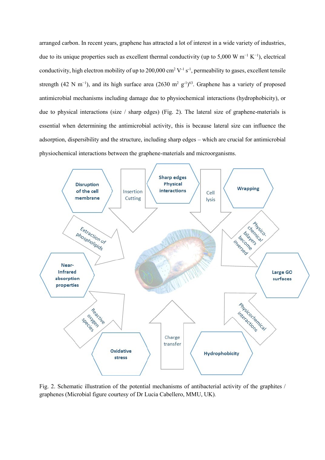arranged carbon. In recent years, graphene has attracted a lot of interest in a wide variety of industries, due to its unique properties such as excellent thermal conductivity (up to 5,000 W m<sup>-1</sup> K<sup>-1</sup>), electrical conductivity, high electron mobility of up to 200,000 cm<sup>2</sup> V<sup>-1</sup> s<sup>-1</sup>, permeability to gases, excellent tensile strength (42 N m<sup>-1</sup>), and its high surface area (2630 m<sup>2</sup> g<sup>-1</sup>)<sup>63</sup>. Graphene has a variety of proposed antimicrobial mechanisms including damage due to physiochemical interactions (hydrophobicity), or due to physical interactions (size / sharp edges) (Fig. 2). The lateral size of graphene-materials is essential when determining the antimicrobial activity, this is because lateral size can influence the adsorption, dispersibility and the structure, including sharp edges – which are crucial for antimicrobial physiochemical interactions between the graphene-materials and microorganisms.



Fig. 2. Schematic illustration of the potential mechanisms of antibacterial activity of the graphites / graphenes (Microbial figure courtesy of Dr Lucia Cabellero, MMU, UK)*.*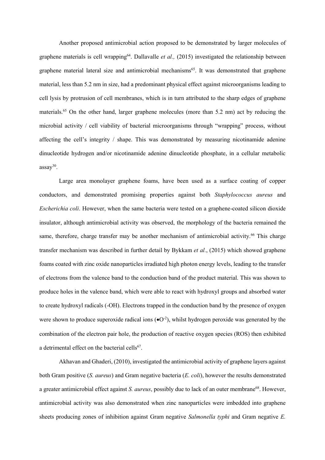Another proposed antimicrobial action proposed to be demonstrated by larger molecules of graphene materials is cell wrapping<sup>64</sup>. Dallavalle *et al.*, (2015) investigated the relationship between graphene material lateral size and antimicrobial mechanisms<sup>65</sup>. It was demonstrated that graphene material, less than 5.2 nm in size, had a predominant physical effect against microorganisms leading to cell lysis by protrusion of cell membranes, which is in turn attributed to the sharp edges of graphene materials.<sup>65</sup> On the other hand, larger graphene molecules (more than 5.2 nm) act by reducing the microbial activity / cell viability of bacterial microorganisms through "wrapping" process, without affecting the cell's integrity / shape. This was demonstrated by measuring nicotinamide adenine dinucleotide hydrogen and/or nicotinamide adenine dinucleotide phosphate, in a cellular metabolic  $assay^{30}$ .

Large area monolayer graphene foams, have been used as a surface coating of copper conductors, and demonstrated promising properties against both *Staphylococcus aureus* and *Escherichia coli*. However, when the same bacteria were tested on a graphene-coated silicon dioxide insulator, although antimicrobial activity was observed, the morphology of the bacteria remained the same, therefore, charge transfer may be another mechanism of antimicrobial activity.<sup>66</sup> This charge transfer mechanism was described in further detail by Bykkam *et al.*, (2015) which showed graphene foams coated with zinc oxide nanoparticles irradiated high photon energy levels, leading to the transfer of electrons from the valence band to the conduction band of the product material. This was shown to produce holes in the valence band, which were able to react with hydroxyl groups and absorbed water to create hydroxyl radicals (-OH). Electrons trapped in the conduction band by the presence of oxygen were shown to produce superoxide radical ions  $(\bullet O^{-2})$ , whilst hydrogen peroxide was generated by the combination of the electron pair hole, the production of reactive oxygen species (ROS) then exhibited a detrimental effect on the bacterial cells<sup>67</sup>.

Akhavan and Ghaderi, (2010), investigated the antimicrobial activity of graphene layers against both Gram positive (*S. aureus*) and Gram negative bacteria (*E. coli*), however the results demonstrated a greater antimicrobial effect against *S. aureus*, possibly due to lack of an outer membrane<sup>68</sup>. However, antimicrobial activity was also demonstrated when zinc nanoparticles were imbedded into graphene sheets producing zones of inhibition against Gram negative *Salmonella typhi* and Gram negative *E.*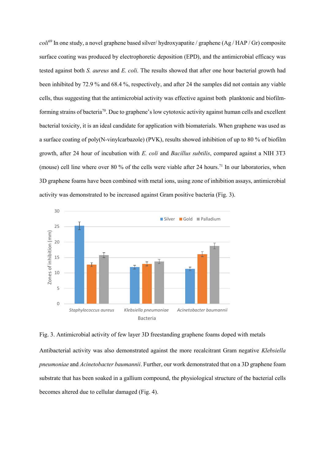*coli*<sup>69</sup> In one study, a novel graphene based silver/ hydroxyapatite / graphene (Ag / HAP / Gr) composite surface coating was produced by electrophoretic deposition (EPD), and the antimicrobial efficacy was tested against both *S. aureus* and *E. coli.* The results showed that after one hour bacterial growth had been inhibited by 72.9 % and 68.4 %, respectively, and after 24 the samples did not contain any viable cells, thus suggesting that the antimicrobial activity was effective against both planktonic and biofilmforming strains of bacteria<sup>70</sup>. Due to graphene's low cytotoxic activity against human cells and excellent bacterial toxicity, it is an ideal candidate for application with biomaterials. When graphene was used as a surface coating of poly(N-vinylcarbazole) (PVK), results showed inhibition of up to 80 % of biofilm growth, after 24 hour of incubation with *E. coli* and *Bacillus subtilis*, compared against a NIH 3T3 (mouse) cell line where over 80 % of the cells were viable after 24 hours.<sup>71</sup> In our laboratories, when 3D graphene foams have been combined with metal ions, using zone of inhibition assays, antimicrobial activity was demonstrated to be increased against Gram positive bacteria (Fig. 3).



Antibacterial activity was also demonstrated against the more recalcitrant Gram negative *Klebsiella pneumoniae* and *Acinetobacter baumannii*. Further, our work demonstrated that on a 3D graphene foam substrate that has been soaked in a gallium compound, the physiological structure of the bacterial cells becomes altered due to cellular damaged (Fig. 4).

Fig. 3. Antimicrobial activity of few layer 3D freestanding graphene foams doped with metals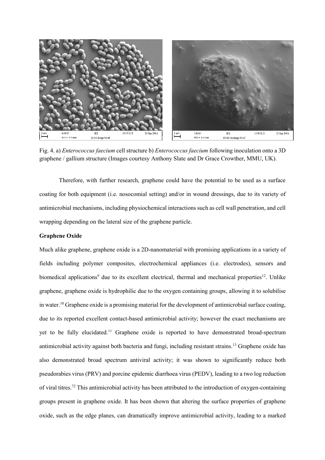

Fig. 4. a) *Enterococcus faecium* cell structure b) *Enterococcus faecium* following inoculation onto a 3D graphene / gallium structure (Images courtesy Anthony Slate and Dr Grace Crowther, MMU, UK)*.*

Therefore, with further research, graphene could have the potential to be used as a surface coating for both equipment (i.e. nosocomial setting) and/or in wound dressings, due to its variety of antimicrobial mechanisms, including physiochemical interactions such as cell wall penetration, and cell wrapping depending on the lateral size of the graphene particle.

# **Graphene Oxide**

Much alike graphene, graphene oxide is a 2D-nanomaterial with promising applications in a variety of fields including polymer composites, electrochemical appliances (i.e. electrodes), sensors and biomedical applications<sup>9</sup> due to its excellent electrical, thermal and mechanical properties<sup>12</sup>. Unlike graphene, graphene oxide is hydrophilic due to the oxygen containing groups, allowing it to solubilise in water.<sup>10</sup> Graphene oxide is a promising material for the development of antimicrobial surface coating, due to its reported excellent contact-based antimicrobial activity; however the exact mechanisms are yet to be fully elucidated.<sup>11</sup> Graphene oxide is reported to have demonstrated broad-spectrum antimicrobial activity against both bacteria and fungi, including resistant strains.<sup>13</sup> Graphene oxide has also demonstrated broad spectrum antiviral activity; it was shown to significantly reduce both pseudorabies virus (PRV) and porcine epidemic diarrhoea virus (PEDV), leading to a two log reduction of viral titres.<sup>72</sup> This antimicrobial activity has been attributed to the introduction of oxygen-containing groups present in graphene oxide. It has been shown that altering the surface properties of graphene oxide, such as the edge planes, can dramatically improve antimicrobial activity, leading to a marked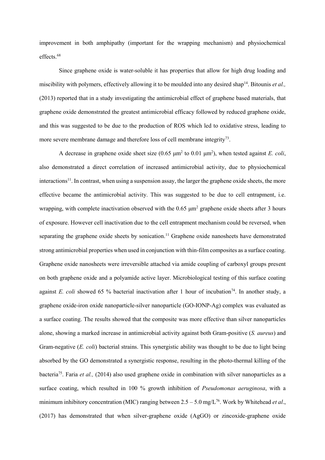improvement in both amphipathy (important for the wrapping mechanism) and physiochemical effects.<sup>68</sup>

Since graphene oxide is water-soluble it has properties that allow for high drug loading and miscibility with polymers, effectively allowing it to be moulded into any desired shap<sup>14</sup>. Bitounis *et al.*, (2013) reported that in a study investigating the antimicrobial effect of graphene based materials, that graphene oxide demonstrated the greatest antimicrobial efficacy followed by reduced graphene oxide, and this was suggested to be due to the production of ROS which led to oxidative stress, leading to more severe membrane damage and therefore loss of cell membrane integrity<sup>73</sup>.

A decrease in graphene oxide sheet size  $(0.65 \mu m^2)$  to  $(0.01 \mu m^2)$ , when tested against *E. coli*, also demonstrated a direct correlation of increased antimicrobial activity, due to physiochemical interactions<sup>11</sup>. In contrast, when using a suspension assay, the larger the graphene oxide sheets, the more effective became the antimicrobial activity. This was suggested to be due to cell entrapment, i.e. wrapping, with complete inactivation observed with the 0.65 μm<sup>2</sup> graphene oxide sheets after 3 hours of exposure. However cell inactivation due to the cell entrapment mechanism could be reversed, when separating the graphene oxide sheets by sonication.<sup>11</sup> Graphene oxide nanosheets have demonstrated strong antimicrobial properties when used in conjunction with thin-film composites as a surface coating. Graphene oxide nanosheets were irreversible attached via amide coupling of carboxyl groups present on both graphene oxide and a polyamide active layer. Microbiological testing of this surface coating against *E. coli* showed 65 % bacterial inactivation after 1 hour of incubation<sup>74</sup>. In another study, a graphene oxide-iron oxide nanoparticle-silver nanoparticle (GO-IONP-Ag) complex was evaluated as a surface coating. The results showed that the composite was more effective than silver nanoparticles alone, showing a marked increase in antimicrobial activity against both Gram-positive (*S. aureus*) and Gram-negative (*E. coli*) bacterial strains. This synergistic ability was thought to be due to light being absorbed by the GO demonstrated a synergistic response, resulting in the photo-thermal killing of the bacteria<sup>75</sup>. Faria *et al.*, (2014) also used graphene oxide in combination with silver nanoparticles as a surface coating, which resulted in 100 % growth inhibition of *Pseudomonas aeruginosa*, with a minimum inhibitory concentration (MIC) ranging between  $2.5 - 5.0$  mg/L<sup>76</sup>. Work by Whitehead *et al.*, (2017) has demonstrated that when silver-graphene oxide (AgGO) or zincoxide-graphene oxide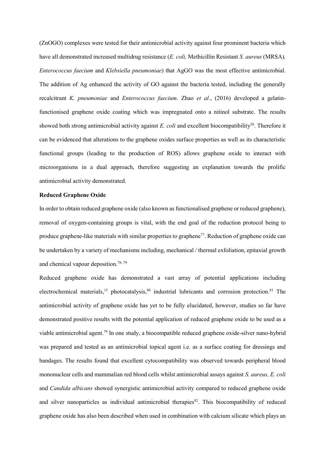(ZnOGO) complexes were tested for their antimicrobial activity against four prominent bacteria which have all demonstrated increased multidrug resistance (*E. coli,* Methicillin Resistant *S. aureus* (MRSA)*, Enterococcus faecium* and *Klebsiella pneumoniae*) that AgGO was the most effective antimicrobial. The addition of Ag enhanced the activity of GO against the bacteria tested, including the generally recalcitrant *K. pneumoniae* and *Enterococcus faecium*. Zhao *et al*., (2016) developed a gelatinfunctionised graphene oxide coating which was impregnated onto a nitinol substrate. The results showed both strong antimicrobial activity against *E. coli* and excellent biocompatibility<sup>26</sup>. Therefore it can be evidenced that alterations to the graphene oxides surface properties as well as its characteristic functional groups (leading to the production of ROS) allows graphene oxide to interact with microorganisms in a dual approach, therefore suggesting an explanation towards the prolific antimicrobial activity demonstrated.

#### **Reduced Graphene Oxide**

In order to obtain reduced graphene oxide (also known as functionalised graphene or reduced graphene), removal of oxygen-containing groups is vital, with the end goal of the reduction protocol being to produce graphene-like materials with similar properties to graphene<sup>77</sup>. Reduction of graphene oxide can be undertaken by a variety of mechanisms including, mechanical / thermal exfoliation, epitaxial growth and chemical vapour deposition. 78, 79

Reduced graphene oxide has demonstrated a vast array of potential applications including electrochemical materials,<sup>15</sup> photocatalysis,<sup>80</sup> industrial lubricants and corrosion protection.<sup>81</sup> The antimicrobial activity of graphene oxide has yet to be fully elucidated, however, studies so far have demonstrated positive results with the potential application of reduced graphene oxide to be used as a viable antimicrobial agent. <sup>79</sup> In one study, a biocompatible reduced graphene oxide-silver nano-hybrid was prepared and tested as an antimicrobial topical agent i.e. as a surface coating for dressings and bandages. The results found that excellent cytocompatibility was observed towards peripheral blood mononuclear cells and mammalian red blood cells whilst antimicrobial assays against *S. aureus, E. coli*  and *Candida albicans* showed synergistic antimicrobial activity compared to reduced graphene oxide and silver nanoparticles as individual antimicrobial therapies<sup>82</sup>. This biocompatibility of reduced graphene oxide has also been described when used in combination with calcium silicate which plays an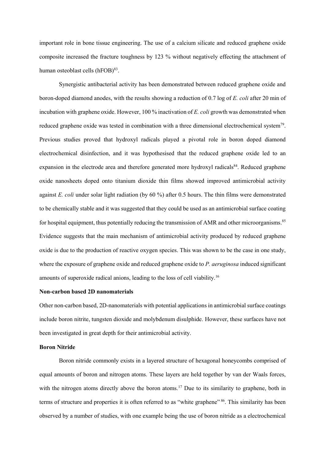important role in bone tissue engineering. The use of a calcium silicate and reduced graphene oxide composite increased the fracture toughness by 123 % without negatively effecting the attachment of human osteoblast cells (hFOB)<sup>83</sup>.

Synergistic antibacterial activity has been demonstrated between reduced graphene oxide and boron-doped diamond anodes, with the results showing a reduction of 0.7 log of *E. coli* after 20 min of incubation with graphene oxide. However, 100 % inactivation of *E. coli* growth was demonstrated when reduced graphene oxide was tested in combination with a three dimensional electrochemical system<sup>79</sup>. Previous studies proved that hydroxyl radicals played a pivotal role in boron doped diamond electrochemical disinfection, and it was hypothesised that the reduced graphene oxide led to an expansion in the electrode area and therefore generated more hydroxyl radicals<sup>84</sup>. Reduced graphene oxide nanosheets doped onto titanium dioxide thin films showed improved antimicrobial activity against *E. coli* under solar light radiation (by 60 %) after 0.5 hours. The thin films were demonstrated to be chemically stable and it was suggested that they could be used as an antimicrobial surface coating for hospital equipment, thus potentially reducing the transmission of AMR and other microorganisms.<sup>85</sup> Evidence suggests that the main mechanism of antimicrobial activity produced by reduced graphene oxide is due to the production of reactive oxygen species. This was shown to be the case in one study, where the exposure of graphene oxide and reduced graphene oxide to *P. aeruginosa* induced significant amounts of superoxide radical anions, leading to the loss of cell viability.<sup>16</sup>

## **Non-carbon based 2D nanomaterials**

Other non-carbon based, 2D-nanomaterials with potential applications in antimicrobial surface coatings include boron nitrite, tungsten dioxide and molybdenum disulphide. However, these surfaces have not been investigated in great depth for their antimicrobial activity.

# **Boron Nitride**

Boron nitride commonly exists in a layered structure of hexagonal honeycombs comprised of equal amounts of boron and nitrogen atoms. These layers are held together by van der Waals forces, with the nitrogen atoms directly above the boron atoms.<sup>17</sup> Due to its similarity to graphene, both in terms of structure and properties it is often referred to as "white graphene" <sup>86</sup>. This similarity has been observed by a number of studies, with one example being the use of boron nitride as a electrochemical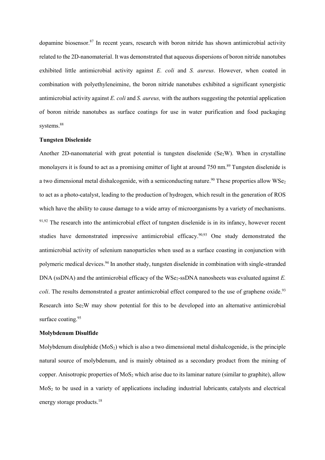dopamine biosensor. <sup>87</sup> In recent years, research with boron nitride has shown antimicrobial activity related to the 2D-nanomaterial. It was demonstrated that aqueous dispersions of boron nitride nanotubes exhibited little antimicrobial activity against *E. coli* and *S. aureus*. However, when coated in combination with polyethyleneimine, the boron nitride nanotubes exhibited a significant synergistic antimicrobial activity against *E. coli* and *S. aureus,* with the authors suggesting the potential application of boron nitride nanotubes as surface coatings for use in water purification and food packaging systems. 88

#### **Tungsten Diselenide**

Another 2D-nanomaterial with great potential is tungsten diselenide ( $Se<sub>2</sub>W$ ). When in crystalline monolayers it is found to act as a promising emitter of light at around 750 nm. <sup>89</sup> Tungsten diselenide is a two dimensional metal dishalcogenide, with a semiconducting nature.<sup>90</sup> These properties allow  $WSe_2$ to act as a photo-catalyst, leading to the production of hydrogen, which result in the generation of ROS which have the ability to cause damage to a wide array of microorganisms by a variety of mechanisms.  $91,92$  The research into the antimicrobial effect of tungsten diselenide is in its infancy, however recent studies have demonstrated impressive antimicrobial efficacy.<sup>90,93</sup> One study demonstrated the antimicrobial activity of selenium nanoparticles when used as a surface coasting in conjunction with polymeric medical devices. <sup>94</sup> In another study, tungsten diselenide in combination with single-stranded DNA (ssDNA) and the antimicrobial efficacy of the WSe<sub>2</sub>-ssDNA nanosheets was evaluated against *E*. coli. The results demonstrated a greater antimicrobial effect compared to the use of graphene oxide.<sup>93</sup> Research into Se2W may show potential for this to be developed into an alternative antimicrobial surface coating. 95

#### **Molybdenum Disulfide**

Molybdenum disulphide  $(MoS<sub>2</sub>)$  which is also a two dimensional metal dishalcogenide, is the principle natural source of molybdenum, and is mainly obtained as a secondary product from the mining of copper. Anisotropic properties of  $MoS<sub>2</sub>$  which arise due to its laminar nature (similar to graphite), allow MoS<sub>2</sub> to be used in a variety of applications including industrial lubricants catalysts and electrical energy storage products.<sup>18</sup>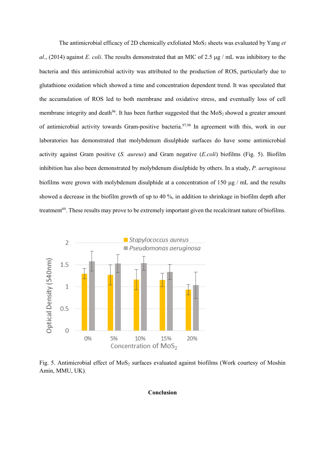The antimicrobial efficacy of 2D chemically exfoliated MoS<sup>2</sup> sheets was evaluated by Yang *et al.*, (2014) against *E. coli*. The results demonstrated that an MIC of 2.5  $\mu$ g / mL was inhibitory to the bacteria and this antimicrobial activity was attributed to the production of ROS, particularly due to glutathione oxidation which showed a time and concentration dependent trend. It was speculated that the accumulation of ROS led to both membrane and oxidative stress, and eventually loss of cell membrane integrity and death<sup>96</sup>. It has been further suggested that the  $MoS<sub>2</sub>$  showed a greater amount of antimicrobial activity towards Gram-positive bacteria. 97,98 In agreement with this, work in our laboratories has demonstrated that molybdenum disulphide surfaces do have some antimicrobial activity against Gram positive (*S. aureus*) and Gram negative (*E.coli*) biofilms (Fig. 5). Biofilm inhibition has also been demonstrated by molybdenum disulphide by others. In a study, *P. aeruginosa* biofilms were grown with molybdenum disulphide at a concentration of 150  $\mu$ g / mL and the results showed a decrease in the biofilm growth of up to 40 %, in addition to shrinkage in biofilm depth after treatment<sup>89</sup>. These results may prove to be extremely important given the recalcitrant nature of biofilms.



Fig. 5. Antimicrobial effect of MoS<sub>2</sub> surfaces evaluated against biofilms (Work courtesy of Moshin Amin, MMU, UK)*.*

# **Conclusion**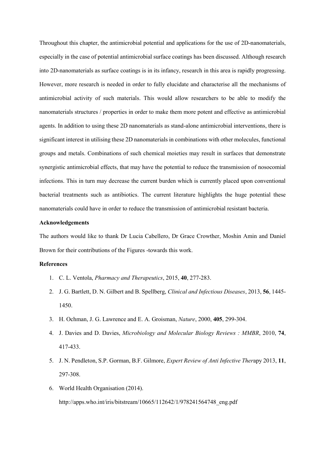Throughout this chapter, the antimicrobial potential and applications for the use of 2D-nanomaterials, especially in the case of potential antimicrobial surface coatings has been discussed. Although research into 2D-nanomaterials as surface coatings is in its infancy, research in this area is rapidly progressing. However, more research is needed in order to fully elucidate and characterise all the mechanisms of antimicrobial activity of such materials. This would allow researchers to be able to modify the nanomaterials structures / properties in order to make them more potent and effective as antimicrobial agents. In addition to using these 2D nanomaterials as stand-alone antimicrobial interventions, there is significant interest in utilising these 2D nanomaterials in combinations with other molecules, functional groups and metals. Combinations of such chemical moieties may result in surfaces that demonstrate synergistic antimicrobial effects, that may have the potential to reduce the transmission of nosocomial infections. This in turn may decrease the current burden which is currently placed upon conventional bacterial treatments such as antibiotics. The current literature highlights the huge potential these nanomaterials could have in order to reduce the transmission of antimicrobial resistant bacteria.

#### **Acknowledgements**

The authors would like to thank Dr Lucia Cabellero, Dr Grace Crowther, Moshin Amin and Daniel Brown for their contributions of the Figures -towards this work.

## **References**

- 1. C. L. Ventola, *Pharmacy and Therapeutics*, 2015, **40**, 277-283.
- 2. J. G. Bartlett, D. N. Gilbert and B. Spellberg, *Clinical and Infectious Diseases*, 2013, **56**, 1445- 1450.
- 3. H. Ochman, J. G. Lawrence and E. A. Groisman, *Nature*, 2000, **405**, 299-304.
- 4. J. Davies and D. Davies, *Microbiology and Molecular Biology Reviews : MMBR*, 2010, **74**, 417-433.
- 5. J. N. Pendleton, S.P. Gorman, B.F. Gilmore, *Expert Review of Anti Infective Ther*apy 2013, **11**, 297-308.
- 6. World Health Organisation (2014). http://apps.who.int/iris/bitstream/10665/112642/1/978241564748\_eng.pdf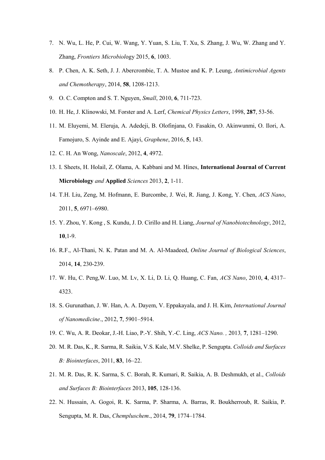- 7. N. Wu, L. He, P. Cui, W. Wang, Y. Yuan, S. Liu, T. Xu, S. Zhang, J. Wu, W. Zhang and Y. Zhang, *Frontiers Microbiol*ogy 2015, **6**, 1003.
- 8. P. Chen, A. K. Seth, J. J. Abercrombie, T. A. Mustoe and K. P. Leung, *Antimicrobial Agents and Chemotherapy*, 2014, **58**, 1208-1213.
- 9. O. C. Compton and S. T. Nguyen, *Small*, 2010, **6**, 711-723.
- 10. H. He, J. Klinowski, M. Forster and A. Lerf, *Chemical Physics Letters*, 1998, **287**, 53-56.
- 11. M. Eluyemi, M. Eleruja, A. Adedeji, B. Olofinjana, O. Fasakin, O. Akinwunmi, O. Ilori, A. Famojuro, S. Ayinde and E. Ajayi, *Graphene*, 2016, **5**, 143.
- 12. C. H. An Wong, *Nanoscale*, 2012, **4**, 4972.
- 13. I. Sheets, H. Holail, Z. Olama, A. Kabbani and M. Hines, **International Journal of Current Microbiology** *and* **Applied** *Sciences* 2013, **2**, 1-11.
- 14. T.H. Liu, Zeng, M. Hofmann, E. Burcombe, J. Wei, R. Jiang, J. Kong, Y. Chen, *ACS Nano*, 2011, **5**, 6971–6980.
- 15. Y. Zhou, Y. Kong , S. Kundu, J. D. Cirillo and H. Liang, *Journal of Nanobiotechnology*, 2012, **10**,1-9.
- 16. R.F., Al-Thani, N. K. Patan and M. A. Al-Maadeed, *Online Journal of Biological Sciences*, 2014, **14**, 230-239.
- 17. W. Hu, C. Peng,W. Luo, M. Lv, X. Li, D. Li, Q. Huang, C. Fan, *ACS Nano*, 2010, **4**, 4317– 4323.
- 18. S. [Gurunathan,](https://www.ncbi.nlm.nih.gov/pubmed/?term=Gurunathan%20S%5BAuthor%5D&cauthor=true&cauthor_uid=23226696) J. W[. Han,](https://www.ncbi.nlm.nih.gov/pubmed/?term=Han%20JW%5BAuthor%5D&cauthor=true&cauthor_uid=23226696) [A. A. Dayem,](https://www.ncbi.nlm.nih.gov/pubmed/?term=Dayem%20AA%5BAuthor%5D&cauthor=true&cauthor_uid=23226696) [V. Eppakayala,](https://www.ncbi.nlm.nih.gov/pubmed/?term=Eppakayala%20V%5BAuthor%5D&cauthor=true&cauthor_uid=23226696) and [J. H. Kim,](https://www.ncbi.nlm.nih.gov/pubmed/?term=Kim%20JH%5BAuthor%5D&cauthor=true&cauthor_uid=23226696) *[International Journal](https://www.ncbi.nlm.nih.gov/pmc/articles/PMC3514835/)  [of Nanomedicine](https://www.ncbi.nlm.nih.gov/pmc/articles/PMC3514835/)*., 2012, **7**, 5901–5914.
- 19. C. Wu, A. R. Deokar, J.-H. Liao, P.-Y. Shih, Y.-C. Ling, *ACS Nano. ,* 2013*,* **7**, 1281–1290.
- 20. M. R. Das, K., R. Sarma, R. Saikia, V.S. Kale, M.V. Shelke, P. Sengupta. *Colloids and Surfaces B: Biointerfaces*, 2011, **83**, 16–22.
- 21. M. R. Das, R. K. Sarma, S. C. Borah, R. Kumari, R. Saikia, A. B. Deshmukh, et al., *Colloids and Surfaces B: Biointerfaces* 2013, **105**, 128-136.
- 22. N. Hussain, A. Gogoi, R. K. Sarma, P. Sharma, A. Barras, R. Boukherroub, R. Saikia, P. Sengupta, M. R. Das, *Chempluschem*., 2014, **79**, 1774–1784.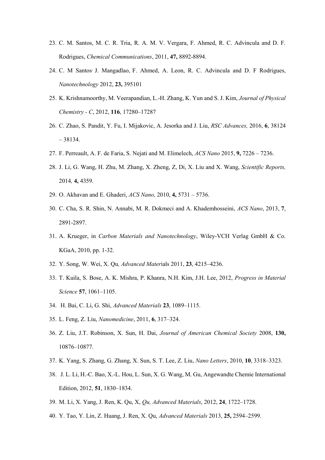- 23. C. M. Santos, M. C. R. Tria, R. A. M. V. Vergara, F. Ahmed, R. C. Advincula and D. F. Rodrigues, *Chemical Communications*, 2011, **47,** 8892-8894.
- 24. C. M Santos, J. Mangadlao, F. Ahmed, A. Leon, R. C. Advincula and D. F Rodrigues, *Nanotechnology* 2012, **23,** 395101
- 25. K. Krishnamoorthy, M. Veerapandian, L.-H. Zhang, K. Yun and S. J. Kim, *Journal of Physical Chemistry - C*, 2012, **116**, 17280–17287
- 26. C. Zhao, S. Pandit, Y. Fu, I. Mijakovic, A. Jesorka and J. Liu, *RSC Advances,* 2016, **6**, 38124 – 38134.
- 27. F. Perreault, A. F. de Faria, S. Nejati and M. Elimelech, *ACS Nano* 2015, **9,** 7226 7236.
- 28. J. Li, G. Wang, H. Zhu, M. Zhang, X. Zheng, Z, Di, X. Liu and X. Wang, *Scientific Reports,*  2014*,* **4,** 4359.
- 29. O. Akhavan and E. Ghaderi, *ACS Nano,* 2010, **4,** 5731 5736.
- 30. C. Cha, S. R. Shin, N. Annabi, M. R. Dokmeci and A. Khademhosseini, *ACS Nano*, 2013, **7**, 2891-2897.
- 31. A. Krueger, in *Carbon Materials and Nanotechnology*, Wiley-VCH Verlag GmbH & Co. KGaA, 2010, pp. 1-32.
- 32. Y. Song, W. Wei, X. Qu*, Advanced Mater*ials 2011, **23**, 4215–4236.
- 33. T. Kuila, S. Bose, A. K. Mishra, P. Khanra, N.H. Kim, J.H. Lee, 2012, *Progress in Material Science* **57**, 1061–1105.
- 34. H. Bai, C. Li, G. Shi, *Advanced Materials* **23**, 1089–1115.
- 35. L. Feng, Z. Liu, *Nanomedicine*, 2011, **6**, 317–324.
- 36. Z. Liu, J.T. Robinson, X. Sun, H. Dai, *Journal of American Chemical Society* 2008, **130,**  10876–10877.
- 37. K. Yang, S. Zhang, G. Zhang, X. Sun, S. T. Lee, Z. Liu, *Nano Letters*, 2010, **10**, 3318–3323.
- 38. J. L. Li, H.-C. Bao, X.-L. Hou, L. Sun, X. G. Wang, M. Gu, Angewandte Chemie International Edition, 2012, **51**, 1830–1834.
- 39. M. Li, X. Yang, J. Ren, K. Qu, X, *Qu, Advanced Materials*, 2012, **24**, 1722–1728.
- 40. Y. Tao, Y. Lin, Z. Huang, J. Ren, X. Qu, *Advanced Materials* 2013, **25,** 2594–2599.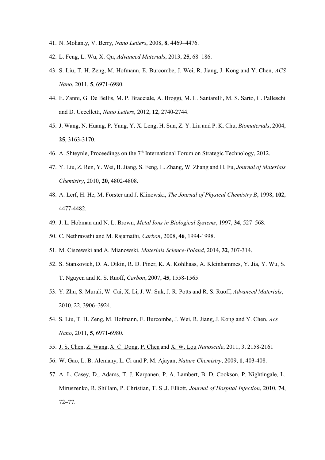- 41. N. Mohanty, V. Berry, *Nano Letters*, 2008, **8**, 4469–4476.
- 42. L. Feng, L. Wu, X. Qu, *Advanced Materials*, 2013, **25,** 68–186.
- 43. S. Liu, T. H. Zeng, M. Hofmann, E. Burcombe, J. Wei, R. Jiang, J. Kong and Y. Chen, *ACS Nano*, 2011, **5**, 6971-6980.
- 44. E. Zanni, G. De Bellis, M. P. Bracciale, A. Broggi, M. L. Santarelli, M. S. Sarto, C. Palleschi and D. Uccelletti, *Nano Letters*, 2012, **12**, 2740-2744.
- 45. J. Wang, N. Huang, P. Yang, Y. X. Leng, H. Sun, Z. Y. Liu and P. K. Chu, *Biomaterials*, 2004, **25**, 3163-3170.
- 46. A. Shteynle, Proceedings on the  $7<sup>th</sup>$  International Forum on Strategic Technology, 2012.
- 47. Y. Liu, Z. Ren, Y. Wei, B. Jiang, S. Feng, L. Zhang, W. Zhang and H. Fu, *Journal of Materials Chemistry*, 2010, **20**, 4802-4808.
- 48. A. Lerf, H. He, M. Forster and J. Klinowski, *The Journal of Physical Chemistry B*, 1998, **102**, 4477-4482.
- 49. J. L. Hobman and N. L. Brown, *Metal Ions in Biological Systems*, 1997, **34**, 527–568.
- 50. C. Nethravathi and M. Rajamathi, *Carbon*, 2008, **46**, 1994-1998.
- 51. M. Ciszewski and A. Mianowski, *Materials Science-Poland*, 2014, **32**, 307-314.
- 52. S. Stankovich, D. A. Dikin, R. D. Piner, K. A. Kohlhaas, A. Kleinhammes, Y. Jia, Y. Wu, S. T. Nguyen and R. S. Ruoff, *Carbon*, 2007, **45**, 1558-1565.
- 53. Y. Zhu, S. Murali, W. Cai, X. Li, J. W. Suk, J. R. Potts and R. S. Ruoff, *Advanced Materials*, 2010, 22, 3906–3924.
- 54. S. Liu, T. H. Zeng, M. Hofmann, E. Burcombe, J. Wei, R. Jiang, J. Kong and Y. Chen, *Acs Nano*, 2011, **5**, 6971-6980.
- 55. [J. S. Chen,](http://pubs.rsc.org/en/results?searchtext=Author%3AJun%20Song%20Chen) [Z. Wang,](http://pubs.rsc.org/en/results?searchtext=Author%3AZhiyu%20Wang) [X. C. Dong,](http://pubs.rsc.org/en/results?searchtext=Author%3AXiao%20Chen%20Dong) [P. Chen](http://pubs.rsc.org/en/results?searchtext=Author%3APeng%20Chen) and [X. W. Lou](http://pubs.rsc.org/en/results?searchtext=Author%3AXiong%20Wen%20(David)%20Lou) *Nanoscale*, 2011, 3, 2158-2161
- 56. W. Gao, L. B. Alemany, L. Ci and P. M. Ajayan, *Nature Chemistry*, 2009, **1**, 403-408.
- 57. A. L. Casey, D., Adams, T. J. Karpanen, P. A. Lambert, B. D. Cookson, P. Nightingale, L. Miruszenko, R. Shillam, P. Christian, T. S .J. Elliott, *Journal of Hospital Infection*, 2010, **74**, 72–77.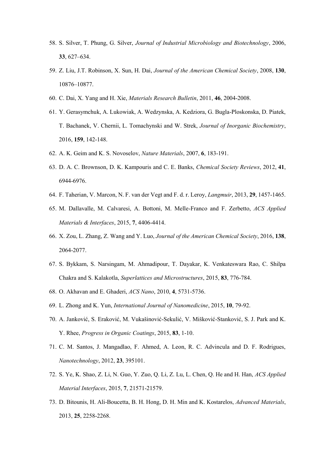- 58. S. Silver, T. Phung, G. Silver, *Journal of Industrial Microbiology and Biotechnology*, 2006, **33**, 627–634.
- 59. Z. Liu, J.T. Robinson, X. Sun, H. Dai, *Journal of the American Chemical Society*, 2008, **130**, 10876–10877.
- 60. C. Dai, X. Yang and H. Xie, *Materials Research Bulletin*, 2011, **46**, 2004-2008.
- 61. Y. Gerasymchuk, A. Lukowiak, A. Wedzynska, A. Kedziora, G. Bugla-Ploskonska, D. Piatek, T. Bachanek, V. Chernii, L. Tomachynski and W. Strek, *Journal of Inorganic Biochemistry*, 2016, **159**, 142-148.
- 62. A. K. Geim and K. S. Novoselov, *Nature Materials*, 2007, **6**, 183-191.
- 63. D. A. C. Brownson, D. K. Kampouris and C. E. Banks, *Chemical Society Reviews*, 2012, **41**, 6944-6976.
- 64. F. Taherian, V. Marcon, N. F. van der Vegt and F. d. r. Leroy, *Langmuir*, 2013, **29**, 1457-1465.
- 65. M. Dallavalle, M. Calvaresi, A. Bottoni, M. Melle-Franco and F. Zerbetto, *ACS Applied Materials & Interfaces*, 2015, **7**, 4406-4414.
- 66. X. Zou, L. Zhang, Z. Wang and Y. Luo, *Journal of the American Chemical Society*, 2016, **138**, 2064-2077.
- 67. S. Bykkam, S. Narsingam, M. Ahmadipour, T. Dayakar, K. Venkateswara Rao, C. Shilpa Chakra and S. Kalakotla, *Superlattices and Microstructures*, 2015, **83**, 776-784.
- 68. O. Akhavan and E. Ghaderi, *ACS Nano*, 2010, **4**, 5731-5736.
- 69. L. Zhong and K. Yun, *International Journal of Nanomedicine*, 2015, **10**, 79-92.
- 70. A. Janković, S. Eraković, M. Vukašinović-Sekulić, V. Mišković-Stanković, S. J. Park and K. Y. Rhee, *Progress in Organic Coatings*, 2015, **83**, 1-10.
- 71. C. M. Santos, J. Mangadlao, F. Ahmed, A. Leon, R. C. Advincula and D. F. Rodrigues, *Nanotechnology*, 2012, **23**, 395101.
- 72. S. Ye, K. Shao, Z. Li, N. Guo, Y. Zuo, Q. Li, Z. Lu, L. Chen, Q. He and H. Han, *ACS Applied Material Interfaces*, 2015, **7**, 21571-21579.
- 73. D. Bitounis, H. Ali-Boucetta, B. H. Hong, D. H. Min and K. Kostarelos, *Advanced Materials*, 2013, **25**, 2258-2268.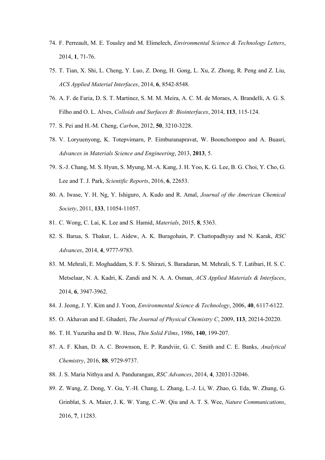- 74. F. Perreault, M. E. Tousley and M. Elimelech, *Environmental Science & Technology Letters*, 2014, **1**, 71-76.
- 75. T. Tian, X. Shi, L. Cheng, Y. Luo, Z. Dong, H. Gong, L. Xu, Z. Zhong, R. Peng and Z. Liu, *ACS Applied Material Interfaces*, 2014, **6**, 8542-8548.
- 76. A. F. de Faria, D. S. T. Martinez, S. M. M. Meira, A. C. M. de Moraes, A. Brandelli, A. G. S. Filho and O. L. Alves, *Colloids and Surfaces B: Biointerfaces*, 2014, **113**, 115-124.
- 77. S. Pei and H.-M. Cheng, *Carbon*, 2012, **50**, 3210-3228.
- 78. V. Loryuenyong, K. Totepvimarn, P. Eimburanapravat, W. Boonchompoo and A. Buasri, *Advances in Materials Science and Engineering*, 2013, **2013**, 5.
- 79. S.-J. Chang, M. S. Hyun, S. Myung, M.-A. Kang, J. H. Yoo, K. G. Lee, B. G. Choi, Y. Cho, G. Lee and T. J. Park, *Scientific Reports*, 2016, **6**, 22653.
- 80. A. Iwase, Y. H. Ng, Y. Ishiguro, A. Kudo and R. Amal, *Journal of the American Chemical Society*, 2011, **133**, 11054-11057.
- 81. C. Wong, C. Lai, K. Lee and S. Hamid, *Materials*, 2015, **8**, 5363.
- 82. S. Barua, S. Thakur, L. Aidew, A. K. Buragohain, P. Chattopadhyay and N. Karak, *RSC Advances*, 2014, **4**, 9777-9783.
- 83. M. Mehrali, E. Moghaddam, S. F. S. Shirazi, S. Baradaran, M. Mehrali, S. T. Latibari, H. S. C. Metselaar, N. A. Kadri, K. Zandi and N. A. A. Osman, *ACS Applied Materials & Interfaces*, 2014, **6**, 3947-3962.
- 84. J. Jeong, J. Y. Kim and J. Yoon, *Environmental Science & Technology*, 2006, **40**, 6117-6122.
- 85. O. Akhavan and E. Ghaderi, *The Journal of Physical Chemistry C*, 2009, **113**, 20214-20220.
- 86. T. H. Yuzuriha and D. W. Hess, *Thin Solid Films*, 1986, **140**, 199-207.
- 87. A. F. Khan, D. A. C. Brownson, E. P. Randviir, G. C. Smith and C. E. Banks, *Analytical Chemistry*, 2016, **88**, 9729-9737.
- 88. J. S. Maria Nithya and A. Pandurangan, *RSC Advances*, 2014, **4**, 32031-32046.
- 89. Z. Wang, Z. Dong, Y. Gu, Y.-H. Chang, L. Zhang, L.-J. Li, W. Zhao, G. Eda, W. Zhang, G. Grinblat, S. A. Maier, J. K. W. Yang, C.-W. Qiu and A. T. S. Wee, *Nature Communications*, 2016, **7**, 11283.